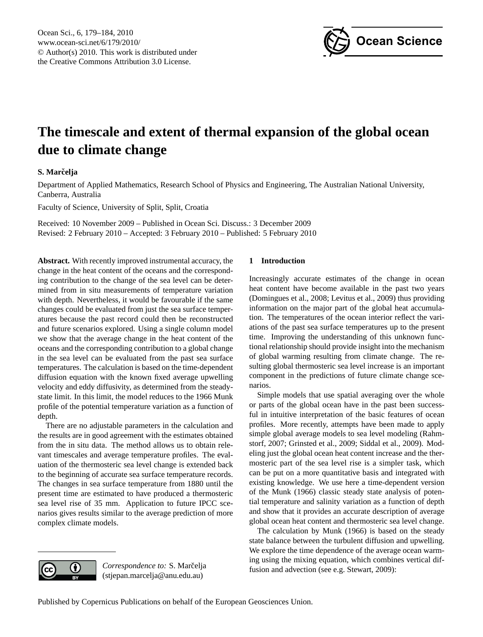

# <span id="page-0-0"></span>**The timescale and extent of thermal expansion of the global ocean due to climate change**

# **S. Marcelja ˇ**

Department of Applied Mathematics, Research School of Physics and Engineering, The Australian National University, Canberra, Australia

Faculty of Science, University of Split, Split, Croatia

Received: 10 November 2009 – Published in Ocean Sci. Discuss.: 3 December 2009 Revised: 2 February 2010 – Accepted: 3 February 2010 – Published: 5 February 2010

**Abstract.** With recently improved instrumental accuracy, the change in the heat content of the oceans and the corresponding contribution to the change of the sea level can be determined from in situ measurements of temperature variation with depth. Nevertheless, it would be favourable if the same changes could be evaluated from just the sea surface temperatures because the past record could then be reconstructed and future scenarios explored. Using a single column model we show that the average change in the heat content of the oceans and the corresponding contribution to a global change in the sea level can be evaluated from the past sea surface temperatures. The calculation is based on the time-dependent diffusion equation with the known fixed average upwelling velocity and eddy diffusivity, as determined from the steadystate limit. In this limit, the model reduces to the 1966 Munk profile of the potential temperature variation as a function of depth.

There are no adjustable parameters in the calculation and the results are in good agreement with the estimates obtained from the in situ data. The method allows us to obtain relevant timescales and average temperature profiles. The evaluation of the thermosteric sea level change is extended back to the beginning of accurate sea surface temperature records. The changes in sea surface temperature from 1880 until the present time are estimated to have produced a thermosteric sea level rise of 35 mm. Application to future IPCC scenarios gives results similar to the average prediction of more complex climate models.

# **1 Introduction**

Increasingly accurate estimates of the change in ocean heat content have become available in the past two years (Domingues et al., 2008; Levitus et al., 2009) thus providing information on the major part of the global heat accumulation. The temperatures of the ocean interior reflect the variations of the past sea surface temperatures up to the present time. Improving the understanding of this unknown functional relationship should provide insight into the mechanism of global warming resulting from climate change. The resulting global thermosteric sea level increase is an important component in the predictions of future climate change scenarios.

Simple models that use spatial averaging over the whole or parts of the global ocean have in the past been successful in intuitive interpretation of the basic features of ocean profiles. More recently, attempts have been made to apply simple global average models to sea level modeling (Rahmstorf, 2007; Grinsted et al., 2009; Siddal et al., 2009). Modeling just the global ocean heat content increase and the thermosteric part of the sea level rise is a simpler task, which can be put on a more quantitative basis and integrated with existing knowledge. We use here a time-dependent version of the Munk (1966) classic steady state analysis of potential temperature and salinity variation as a function of depth and show that it provides an accurate description of average global ocean heat content and thermosteric sea level change.

The calculation by Munk (1966) is based on the steady state balance between the turbulent diffusion and upwelling. We explore the time dependence of the average ocean warming using the mixing equation, which combines vertical diffusion and advection (see e.g. Stewart, 2009):



Correspondence to: S. Marčelja (stjepan.marcelja@anu.edu.au)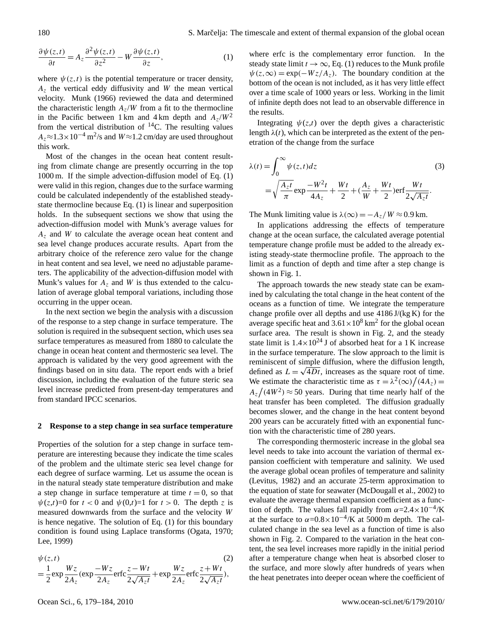$$
\frac{\partial \psi(z,t)}{\partial t} = A_z \frac{\partial^2 \psi(z,t)}{\partial z^2} - W \frac{\partial \psi(z,t)}{\partial z},\tag{1}
$$

where  $\psi(z,t)$  is the potential temperature or tracer density,  $A<sub>z</sub>$  the vertical eddy diffusivity and W the mean vertical velocity. Munk (1966) reviewed the data and determined the characteristic length  $A_z/W$  from a fit to the thermocline in the Pacific between 1 km and 4 km depth and  $A_z/W^2$ from the vertical distribution of <sup>14</sup>C. The resulting values  $A_z \approx 1.3 \times 10^{-4}$  m<sup>2</sup>/s and  $W \approx 1.2$  cm/day are used throughout this work.

Most of the changes in the ocean heat content resulting from climate change are presently occurring in the top 1000 m. If the simple advection-diffusion model of Eq. (1) were valid in this region, changes due to the surface warming could be calculated independently of the established steadystate thermocline because Eq. (1) is linear and superposition holds. In the subsequent sections we show that using the advection-diffusion model with Munk's average values for  $A<sub>z</sub>$  and W to calculate the average ocean heat content and sea level change produces accurate results. Apart from the arbitrary choice of the reference zero value for the change in heat content and sea level, we need no adjustable parameters. The applicability of the advection-diffusion model with Munk's values for  $A_z$  and W is thus extended to the calculation of average global temporal variations, including those occurring in the upper ocean.

In the next section we begin the analysis with a discussion of the response to a step change in surface temperature. The solution is required in the subsequent section, which uses sea surface temperatures as measured from 1880 to calculate the change in ocean heat content and thermosteric sea level. The approach is validated by the very good agreement with the findings based on in situ data. The report ends with a brief discussion, including the evaluation of the future steric sea level increase predicted from present-day temperatures and from standard IPCC scenarios.

#### **2 Response to a step change in sea surface temperature**

Properties of the solution for a step change in surface temperature are interesting because they indicate the time scales of the problem and the ultimate steric sea level change for each degree of surface warming. Let us assume the ocean is in the natural steady state temperature distribution and make a step change in surface temperature at time  $t = 0$ , so that  $\psi(z,t)=0$  for  $t < 0$  and  $\psi(0,t)=1$  for  $t > 0$ . The depth z is measured downwards from the surface and the velocity W is hence negative. The solution of Eq. (1) for this boundary condition is found using Laplace transforms (Ogata, 1970; Lee, 1999)

$$
\psi(z,t) \tag{2}
$$
\n
$$
= \frac{1}{2} \exp \frac{Wz}{2A_z} (\exp \frac{-Wz}{2A_z} \cdot \text{erfc} \frac{z - Wt}{2\sqrt{A_z t}} + \exp \frac{Wz}{2A_z} \cdot \text{erfc} \frac{z + Wt}{2\sqrt{A_z t}}),
$$

where erfc is the complementary error function. In the steady state limit  $t \to \infty$ , Eq. (1) reduces to the Munk profile  $\psi(z,\infty) = \exp(-Wz/A_z)$ . The boundary condition at the bottom of the ocean is not included, as it has very little effect over a time scale of 1000 years or less. Working in the limit of infinite depth does not lead to an observable difference in the results.

Integrating  $\psi(z,t)$  over the depth gives a characteristic length  $\lambda(t)$ , which can be interpreted as the extent of the penetration of the change from the surface

$$
\lambda(t) = \int_0^\infty \psi(z, t) dz
$$
\n
$$
= \sqrt{\frac{A_z t}{\pi}} \exp \frac{-W^2 t}{4A_z} + \frac{Wt}{2} + (\frac{A_z}{W} + \frac{Wt}{2}) \text{erf} \frac{Wt}{2\sqrt{A_z t}}.
$$
\n(3)

The Munk limiting value is  $\lambda(\infty) = -A_z/W \approx 0.9$  km.

In applications addressing the effects of temperature change at the ocean surface, the calculated average potential temperature change profile must be added to the already existing steady-state thermocline profile. The approach to the limit as a function of depth and time after a step change is shown in Fig. 1.

The approach towards the new steady state can be examined by calculating the total change in the heat content of the oceans as a function of time. We integrate the temperature change profile over all depths and use 4186 J/(kg K) for the average specific heat and  $3.61 \times 10^8$  km<sup>2</sup> for the global ocean surface area. The result is shown in Fig. 2, and the steady state limit is  $1.4 \times 10^{24}$  J of absorbed heat for a 1 K increase in the surface temperature. The slow approach to the limit is reminiscent of simple diffusion, where the diffusion length, defined as  $L = \sqrt{4Dt}$ , increases as the square root of time. We estimate the characteristic time as  $\tau = \lambda^2(\infty) / (4A_z)$  $A_z/(4W^2) \approx 50$  years. During that time nearly half of the heat transfer has been completed. The diffusion gradually becomes slower, and the change in the heat content beyond 200 years can be accurately fitted with an exponential function with the characteristic time of 280 years.

The corresponding thermosteric increase in the global sea level needs to take into account the variation of thermal expansion coefficient with temperature and salinity. We used the average global ocean profiles of temperature and salinity (Levitus, 1982) and an accurate 25-term approximation to the equation of state for seawater (McDougall et al., 2002) to evaluate the average thermal expansion coefficient as a function of depth. The values fall rapidly from  $\alpha = 2.4 \times 10^{-4}$ /K at the surface to  $\alpha = 0.8 \times 10^{-4}$ /K at 5000 m depth. The calculated change in the sea level as a function of time is also shown in Fig. 2. Compared to the variation in the heat content, the sea level increases more rapidly in the initial period after a temperature change when heat is absorbed closer to the surface, and more slowly after hundreds of years when the heat penetrates into deeper ocean where the coefficient of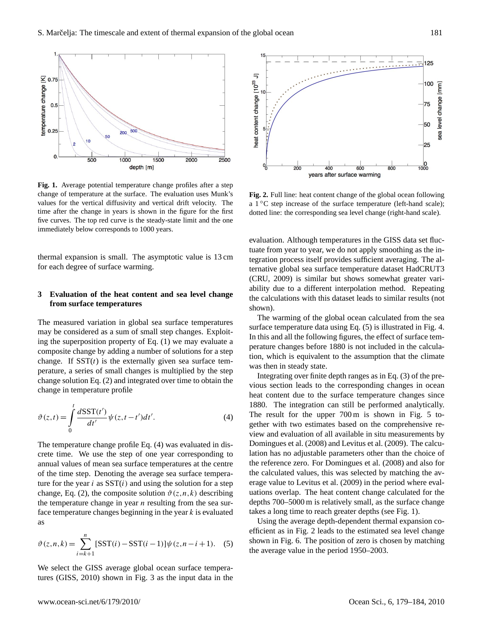

**Fig. 1.** Average potential temperature change profiles after a step change of temperature at the surface. The evaluation uses Munk's values for the vertical diffusivity and vertical drift velocity. The time after the change in years is shown in the figure for the first five curves. The top red curve is the steady-state limit and the one immediately below corresponds to 1000 years.

thermal expansion is small. The asymptotic value is 13 cm for each degree of surface warming.

## **3 Evaluation of the heat content and sea level change from surface temperatures**

The measured variation in global sea surface temperatures may be considered as a sum of small step changes. Exploiting the superposition property of Eq. (1) we may evaluate a composite change by adding a number of solutions for a step change. If  $SST(t)$  is the externally given sea surface temperature, a series of small changes is multiplied by the step change solution Eq. (2) and integrated over time to obtain the change in temperature profile

$$
\vartheta(z,t) = \int_{0}^{t} \frac{d\mathrm{SST}(t')}{dt'} \psi(z,t-t')dt'.
$$
\n(4)

The temperature change profile Eq. (4) was evaluated in discrete time. We use the step of one year corresponding to annual values of mean sea surface temperatures at the centre of the time step. Denoting the average sea surface temperature for the year i as  $SST(i)$  and using the solution for a step change, Eq. (2), the composite solution  $\vartheta(z,n,k)$  describing the temperature change in year  $n$  resulting from the sea surface temperature changes beginning in the year  $k$  is evaluated as

$$
\vartheta(z, n, k) = \sum_{i=k+1}^{n} [SST(i) - SST(i-1)]\psi(z, n-i+1). \quad (5)
$$

We select the GISS average global ocean surface temperatures (GISS, 2010) shown in Fig. 3 as the input data in the



**Fig. 2.** Full line: heat content change of the global ocean following a 1 ◦C step increase of the surface temperature (left-hand scale); dotted line: the corresponding sea level change (right-hand scale).

evaluation. Although temperatures in the GISS data set fluctuate from year to year, we do not apply smoothing as the integration process itself provides sufficient averaging. The alternative global sea surface temperature dataset HadCRUT3 (CRU, 2009) is similar but shows somewhat greater variability due to a different interpolation method. Repeating the calculations with this dataset leads to similar results (not shown).

The warming of the global ocean calculated from the sea surface temperature data using Eq. (5) is illustrated in Fig. 4. In this and all the following figures, the effect of surface temperature changes before 1880 is not included in the calculation, which is equivalent to the assumption that the climate was then in steady state.

Integrating over finite depth ranges as in Eq. (3) of the previous section leads to the corresponding changes in ocean heat content due to the surface temperature changes since 1880. The integration can still be performed analytically. The result for the upper 700 m is shown in Fig. 5 together with two estimates based on the comprehensive review and evaluation of all available in situ measurements by Domingues et al. (2008) and Levitus et al. (2009). The calculation has no adjustable parameters other than the choice of the reference zero. For Domingues et al. (2008) and also for the calculated values, this was selected by matching the average value to Levitus et al. (2009) in the period where evaluations overlap. The heat content change calculated for the depths 700–5000 m is relatively small, as the surface change takes a long time to reach greater depths (see Fig. 1).

Using the average depth-dependent thermal expansion coefficient as in Fig. 2 leads to the estimated sea level change shown in Fig. 6. The position of zero is chosen by matching the average value in the period 1950–2003.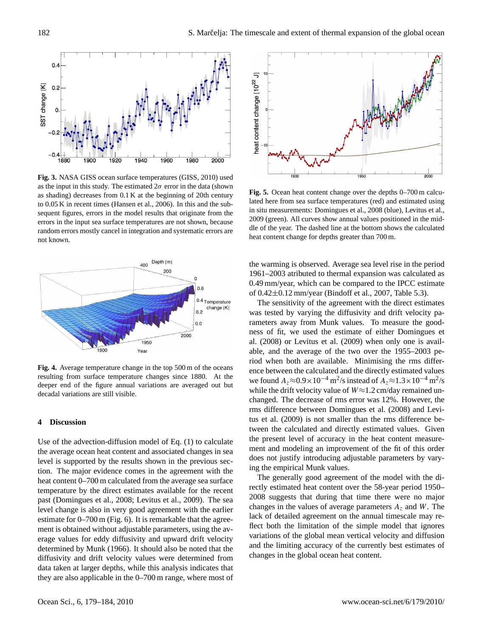

**Fig. 3.** NASA GISS ocean surface temperatures (GISS, 2010) used as the input in this study. The estimated  $2\sigma$  error in the data (shown as shading) decreases from 0.1 K at the beginning of 20th century to 0.05 K in recent times (Hansen et al., 2006). In this and the subsequent figures, errors in the model results that originate from the errors in the input sea surface temperatures are not shown, because random errors mostly cancel in integration and systematic errors are not known.



**Fig. 4.** Average temperature change in the top 500 m of the oceans resulting from surface temperature changes since 1880. At the deeper end of the figure annual variations are averaged out but decadal variations are still visible.

### **4 Discussion**

Use of the advection-diffusion model of Eq. (1) to calculate the average ocean heat content and associated changes in sea level is supported by the results shown in the previous section. The major evidence comes in the agreement with the heat content 0–700 m calculated from the average sea surface temperature by the direct estimates available for the recent past (Domingues et al., 2008; Levitus et al., 2009). The sea level change is also in very good agreement with the earlier estimate for 0–700 m (Fig. 6). It is remarkable that the agreement is obtained without adjustable parameters, using the average values for eddy diffusivity and upward drift velocity determined by Munk (1966). It should also be noted that the diffusivity and drift velocity values were determined from data taken at larger depths, while this analysis indicates that they are also applicable in the 0–700 m range, where most of



**Fig. 5.** Ocean heat content change over the depths 0–700 m calculated here from sea surface temperatures (red) and estimated using in situ measurements: Domingues et al., 2008 (blue), Levitus et al., 2009 (green). All curves show annual values positioned in the middle of the year. The dashed line at the bottom shows the calculated heat content change for depths greater than 700 m.

the warming is observed. Average sea level rise in the period 1961–2003 atributed to thermal expansion was calculated as 0.49 mm/year, which can be compared to the IPCC estimate of 0.42±0.12 mm/year (Bindoff et al., 2007, Table 5.3).

The sensitivity of the agreement with the direct estimates was tested by varying the diffusivity and drift velocity parameters away from Munk values. To measure the goodness of fit, we used the estimate of either Domingues et al. (2008) or Levitus et al. (2009) when only one is available, and the average of the two over the 1955–2003 period when both are available. Minimising the rms difference between the calculated and the directly estimated values we found  $A_z \approx 0.9 \times 10^{-4}$  m<sup>2</sup>/s instead of  $A_z \approx 1.3 \times 10^{-4}$  m<sup>2</sup>/s while the drift velocity value of  $W \approx 1.2$  cm/day remained unchanged. The decrease of rms error was 12%. However, the rms difference between Domingues et al. (2008) and Levitus et al. (2009) is not smaller than the rms difference between the calculated and directly estimated values. Given the present level of accuracy in the heat content measurement and modeling an improvement of the fit of this order does not justify introducing adjustable parameters by varying the empirical Munk values.

The generally good agreement of the model with the directly estimated heat content over the 58-year period 1950– 2008 suggests that during that time there were no major changes in the values of average parameters  $A<sub>z</sub>$  and W. The lack of detailed agreement on the annual timescale may reflect both the limitation of the simple model that ignores variations of the global mean vertical velocity and diffusion and the limiting accuracy of the currently best estimates of changes in the global ocean heat content.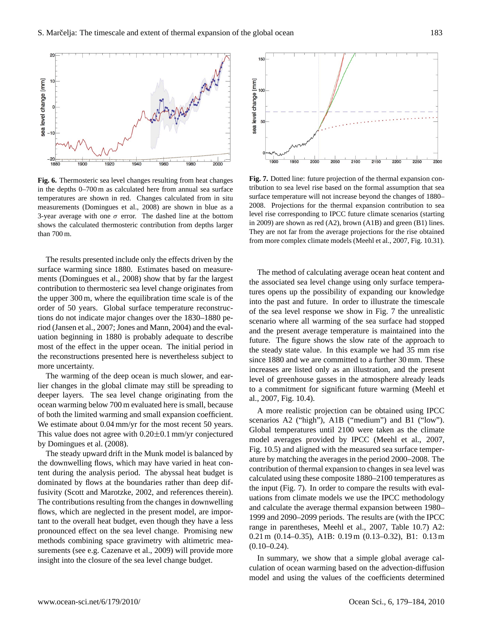

**Fig. 6.** Thermosteric sea level changes resulting from heat changes in the depths 0–700 m as calculated here from annual sea surface temperatures are shown in red. Changes calculated from in situ measurements (Domingues et al., 2008) are shown in blue as a 3-year average with one  $\sigma$  error. The dashed line at the bottom shows the calculated thermosteric contribution from depths larger than 700 m.

The results presented include only the effects driven by the surface warming since 1880. Estimates based on measurements (Domingues et al., 2008) show that by far the largest contribution to thermosteric sea level change originates from the upper 300 m, where the equilibration time scale is of the order of 50 years. Global surface temperature reconstructions do not indicate major changes over the 1830–1880 period (Jansen et al., 2007; Jones and Mann, 2004) and the evaluation beginning in 1880 is probably adequate to describe most of the effect in the upper ocean. The initial period in the reconstructions presented here is nevertheless subject to more uncertainty.

The warming of the deep ocean is much slower, and earlier changes in the global climate may still be spreading to deeper layers. The sea level change originating from the ocean warming below 700 m evaluated here is small, because of both the limited warming and small expansion coefficient. We estimate about  $0.04$  mm/yr for the most recent 50 years. This value does not agree with 0.20±0.1 mm/yr conjectured by Domingues et al. (2008).

The steady upward drift in the Munk model is balanced by the downwelling flows, which may have varied in heat content during the analysis period. The abyssal heat budget is dominated by flows at the boundaries rather than deep diffusivity (Scott and Marotzke, 2002, and references therein). The contributions resulting from the changes in downwelling flows, which are neglected in the present model, are important to the overall heat budget, even though they have a less pronounced effect on the sea level change. Promising new methods combining space gravimetry with altimetric measurements (see e.g. Cazenave et al., 2009) will provide more insight into the closure of the sea level change budget.



**Fig. 7.** Dotted line: future projection of the thermal expansion contribution to sea level rise based on the formal assumption that sea surface temperature will not increase beyond the changes of 1880– 2008. Projections for the thermal expansion contribution to sea level rise corresponding to IPCC future climate scenarios (starting in 2009) are shown as red (A2), brown (A1B) and green (B1) lines. They are not far from the average projections for the rise obtained from more complex climate models (Meehl et al., 2007, Fig. 10.31).

The method of calculating average ocean heat content and the associated sea level change using only surface temperatures opens up the possibility of expanding our knowledge into the past and future. In order to illustrate the timescale of the sea level response we show in Fig. 7 the unrealistic scenario where all warming of the sea surface had stopped and the present average temperature is maintained into the future. The figure shows the slow rate of the approach to the steady state value. In this example we had 35 mm rise since 1880 and we are committed to a further 30 mm. These increases are listed only as an illustration, and the present level of greenhouse gasses in the atmosphere already leads to a commitment for significant future warming (Meehl et al., 2007, Fig. 10.4).

A more realistic projection can be obtained using IPCC scenarios A2 ("high"), A1B ("medium") and B1 ("low"). Global temperatures until 2100 were taken as the climate model averages provided by IPCC (Meehl et al., 2007, Fig. 10.5) and aligned with the measured sea surface temperature by matching the averages in the period 2000–2008. The contribution of thermal expansion to changes in sea level was calculated using these composite 1880–2100 temperatures as the input (Fig. 7). In order to compare the results with evaluations from climate models we use the IPCC methodology and calculate the average thermal expansion between 1980– 1999 and 2090–2099 periods. The results are (with the IPCC range in parentheses, Meehl et al., 2007, Table 10.7) A2: 0.21 m (0.14–0.35), A1B: 0.19 m (0.13–0.32), B1: 0.13 m  $(0.10-0.24)$ .

In summary, we show that a simple global average calculation of ocean warming based on the advection-diffusion model and using the values of the coefficients determined